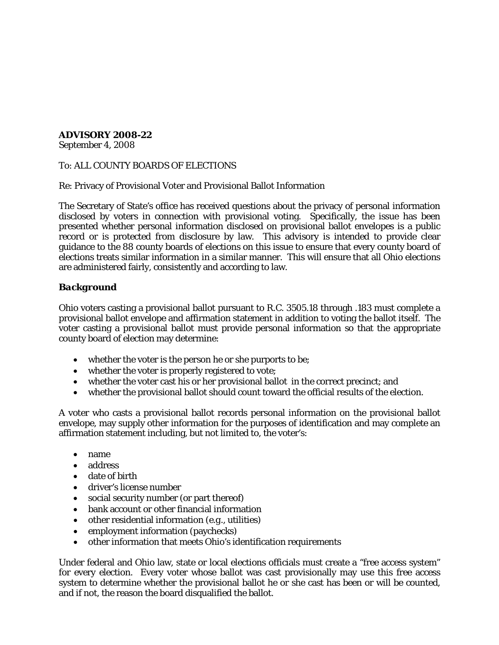## **ADVISORY 2008-22**

September 4, 2008

To: ALL COUNTY BOARDS OF ELECTIONS

Re: Privacy of Provisional Voter and Provisional Ballot Information

The Secretary of State's office has received questions about the privacy of personal information disclosed by voters in connection with provisional voting. Specifically, the issue has been presented whether personal information disclosed on provisional ballot envelopes is a public record or is protected from disclosure by law. This advisory is intended to provide clear guidance to the 88 county boards of elections on this issue to ensure that every county board of elections treats similar information in a similar manner. This will ensure that all Ohio elections are administered fairly, consistently and according to law.

# *Background*

Ohio voters casting a provisional ballot pursuant to R.C. 3505.18 through .183 must complete a provisional ballot envelope and affirmation statement in addition to voting the ballot itself. The voter casting a provisional ballot must provide personal information so that the appropriate county board of election may determine:

- whether the voter is the person he or she purports to be;
- whether the voter is properly registered to vote;
- whether the voter cast his or her provisional ballot in the correct precinct; and
- whether the provisional ballot should count toward the official results of the election.

A voter who casts a provisional ballot records personal information on the provisional ballot envelope, may supply other information for the purposes of identification and may complete an affirmation statement including, but not limited to, the voter's:

- name
- address
- date of birth
- driver's license number
- social security number (or part thereof)
- bank account or other financial information
- other residential information (*e.g.,* utilities)
- employment information (paychecks)
- other information that meets Ohio's identification requirements

Under federal and Ohio law, state or local elections officials must create a "free access system" for every election. Every voter whose ballot was cast provisionally may use this free access system to determine whether the provisional ballot he or she cast has been or will be counted, and if not, the reason the board disqualified the ballot.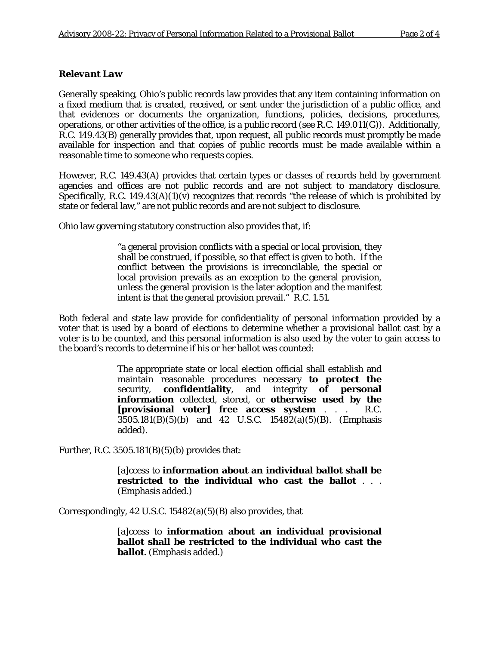## *Relevant Law*

Generally speaking, Ohio's public records law provides that any item containing information on a fixed medium that is created, received, or sent under the jurisdiction of a public office, and that evidences or documents the organization, functions, policies, decisions, procedures, operations, or other activities of the office, is a public record (see R.C. 149.011(G)). Additionally, R.C. 149.43(B) generally provides that, upon request, all public records must promptly be made available for inspection and that copies of public records must be made available within a reasonable time to someone who requests copies.

However, R.C. 149.43(A) provides that certain types or classes of records held by government agencies and offices are not public records and are not subject to mandatory disclosure. Specifically, R.C. 149.43(A)(1)(v) recognizes that records "the release of which is prohibited by state or federal law," are not public records and are not subject to disclosure.

Ohio law governing statutory construction also provides that, if:

"a general provision conflicts with a special or local provision, they shall be construed, if possible, so that effect is given to both. If the conflict between the provisions is irreconcilable, the special or local provision prevails as an exception to the general provision, unless the general provision is the later adoption and the manifest intent is that the general provision prevail." R.C. 1.51.

Both federal and state law provide for confidentiality of personal information provided by a voter that is used by a board of elections to determine whether a provisional ballot cast by a voter is to be counted, and this personal information is also used by the voter to gain access to the board's records to determine if his or her ballot was counted:

> The appropriate state or local election official shall establish and maintain reasonable procedures necessary **to protect the** security, **confidentiality**, and integrity **of personal information** collected, stored, or **otherwise used by the [provisional voter] free access system** . . . R.C. 3505.181(B)(5)(b) and 42 U.S.C. 15482(a)(5)(B). (Emphasis added).

Further, R.C.  $3505.181(B)(5)(b)$  provides that:

[a]ccess to **information about an individual ballot shall be restricted to the individual who cast the ballot** . . . (Emphasis added.)

Correspondingly, 42 U.S.C.  $15482(a)(5)(B)$  also provides, that

[a]ccess to **information about an individual provisional ballot shall be restricted to the individual who cast the ballot**. (Emphasis added.)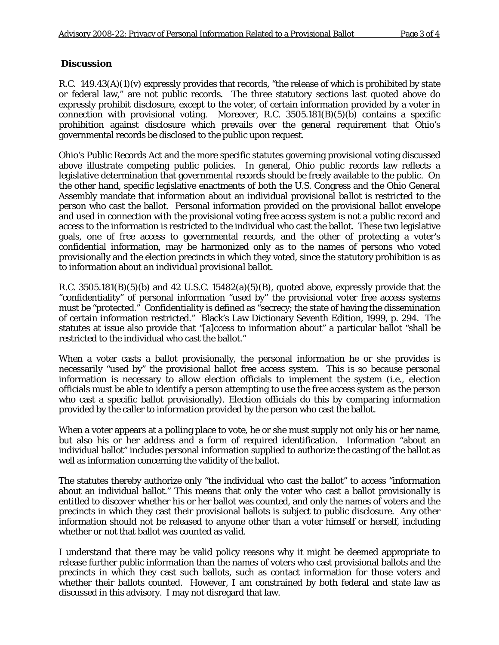### *Discussion*

R.C. 149.43(A)(1)(v) expressly provides that records, "the release of which is prohibited by state or federal law," are not public records. The three statutory sections last quoted above do expressly prohibit disclosure, except to the voter, of certain information provided by a voter in connection with provisional voting. Moreover, R.C. 3505.181(B)(5)(b) contains a specific prohibition against disclosure which prevails over the general requirement that Ohio's governmental records be disclosed to the public upon request.

Ohio's Public Records Act and the more specific statutes governing provisional voting discussed above illustrate competing public policies. In general, Ohio public records law reflects a legislative determination that governmental records should be freely available to the public. On the other hand, specific legislative enactments of both the U.S. Congress and the Ohio General Assembly mandate that information about an individual provisional *ballot* is restricted to the person who cast the ballot. Personal information provided on the provisional ballot envelope and used in connection with the provisional voting free access system is not a public record and access to the information is restricted to the individual who cast the ballot. These two legislative goals, one of free access to governmental records, and the other of protecting a voter's confidential information, may be harmonized only as to the names of persons who voted provisionally and the election precincts in which they voted, since the statutory prohibition is as to information about *an individual provisional ballot*.

R.C.  $3505.181(B)(5)(b)$  and 42 U.S.C.  $15482(a)(5)(B)$ , quoted above, expressly provide that the "confidentiality" of personal information "used by" the provisional voter free access systems must be "protected." Confidentiality is defined as "secrecy; the state of having the dissemination of certain information restricted." Black's Law Dictionary Seventh Edition, 1999, p. 294. The statutes at issue also provide that "[a]ccess to information about" a particular ballot "shall be restricted to the individual who cast the ballot."

When a voter casts a ballot provisionally, the personal information he or she provides is necessarily "used by" the provisional ballot free access system. This is so because personal information is necessary to allow election officials to implement the system (i.e., election officials must be able to identify a person attempting to use the free access system as the person who cast a specific ballot provisionally). Election officials do this by comparing information provided by the caller to information provided by the person who cast the ballot.

When a voter appears at a polling place to vote, he or she must supply not only his or her name, but also his or her address and a form of required identification. Information "about an individual ballot" includes personal information supplied to authorize the casting of the ballot as well as information concerning the validity of the ballot.

The statutes thereby authorize only "the individual who cast the ballot" to access "information about an individual ballot." This means that only the voter who cast a ballot provisionally is entitled to discover whether his or her ballot was counted, and only the names of voters and the precincts in which they cast their provisional ballots is subject to public disclosure. Any other information should not be released to anyone other than a voter himself or herself, including whether or not that ballot was counted as valid.

I understand that there may be valid policy reasons why it might be deemed appropriate to release further public information than the names of voters who cast provisional ballots and the precincts in which they cast such ballots, such as contact information for those voters and whether their ballots counted. However, I am constrained by both federal and state law as discussed in this advisory. I may not disregard that law.